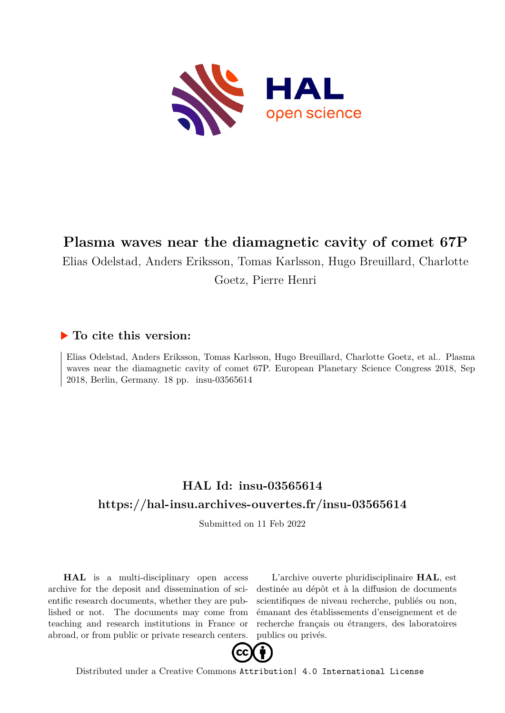

# **Plasma waves near the diamagnetic cavity of comet 67P**

Elias Odelstad, Anders Eriksson, Tomas Karlsson, Hugo Breuillard, Charlotte

Goetz, Pierre Henri

## **To cite this version:**

Elias Odelstad, Anders Eriksson, Tomas Karlsson, Hugo Breuillard, Charlotte Goetz, et al.. Plasma waves near the diamagnetic cavity of comet 67P. European Planetary Science Congress 2018, Sep 2018, Berlin, Germany. 18 pp. insu-03565614

# **HAL Id: insu-03565614 <https://hal-insu.archives-ouvertes.fr/insu-03565614>**

Submitted on 11 Feb 2022

**HAL** is a multi-disciplinary open access archive for the deposit and dissemination of scientific research documents, whether they are published or not. The documents may come from teaching and research institutions in France or abroad, or from public or private research centers.

L'archive ouverte pluridisciplinaire **HAL**, est destinée au dépôt et à la diffusion de documents scientifiques de niveau recherche, publiés ou non, émanant des établissements d'enseignement et de recherche français ou étrangers, des laboratoires publics ou privés.



Distributed under a Creative Commons [Attribution| 4.0 International License](http://creativecommons.org/licenses/by/4.0/)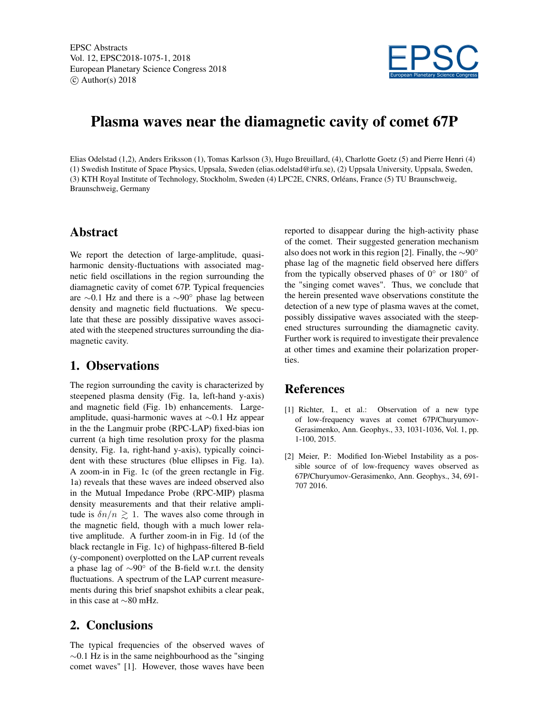

# Plasma waves near the diamagnetic cavity of comet 67P

Elias Odelstad (1,2), Anders Eriksson (1), Tomas Karlsson (3), Hugo Breuillard, (4), Charlotte Goetz (5) and Pierre Henri (4) (1) Swedish Institute of Space Physics, Uppsala, Sweden (elias.odelstad@irfu.se), (2) Uppsala University, Uppsala, Sweden, (3) KTH Royal Institute of Technology, Stockholm, Sweden (4) LPC2E, CNRS, Orléans, France (5) TU Braunschweig, Braunschweig, Germany

#### Abstract

We report the detection of large-amplitude, quasiharmonic density-fluctuations with associated magnetic field oscillations in the region surrounding the diamagnetic cavity of comet 67P. Typical frequencies are ∼0.1 Hz and there is a ∼90◦ phase lag between density and magnetic field fluctuations. We speculate that these are possibly dissipative waves associated with the steepened structures surrounding the diamagnetic cavity.

### 1. Observations

The region surrounding the cavity is characterized by steepened plasma density (Fig. 1a, left-hand y-axis) and magnetic field (Fig. 1b) enhancements. Largeamplitude, quasi-harmonic waves at ∼0.1 Hz appear in the the Langmuir probe (RPC-LAP) fixed-bias ion current (a high time resolution proxy for the plasma density, Fig. 1a, right-hand y-axis), typically coincident with these structures (blue ellipses in Fig. 1a). A zoom-in in Fig. 1c (of the green rectangle in Fig. 1a) reveals that these waves are indeed observed also in the Mutual Impedance Probe (RPC-MIP) plasma density measurements and that their relative amplitude is  $\delta n/n \geq 1$ . The waves also come through in the magnetic field, though with a much lower relative amplitude. A further zoom-in in Fig. 1d (of the black rectangle in Fig. 1c) of highpass-filtered B-field (y-component) overplotted on the LAP current reveals a phase lag of ∼90◦ of the B-field w.r.t. the density fluctuations. A spectrum of the LAP current measurements during this brief snapshot exhibits a clear peak, in this case at ∼80 mHz.

## 2. Conclusions

The typical frequencies of the observed waves of  $\sim$ 0.1 Hz is in the same neighbourhood as the "singing" comet waves" [1]. However, those waves have been reported to disappear during the high-activity phase of the comet. Their suggested generation mechanism also does not work in this region [2]. Finally, the ∼90◦ phase lag of the magnetic field observed here differs from the typically observed phases of  $0°$  or  $180°$  of the "singing comet waves". Thus, we conclude that the herein presented wave observations constitute the detection of a new type of plasma waves at the comet, possibly dissipative waves associated with the steepened structures surrounding the diamagnetic cavity. Further work is required to investigate their prevalence at other times and examine their polarization properties.

### **References**

- [1] Richter, I., et al.: Observation of a new type of low-frequency waves at comet 67P/Churyumov-Gerasimenko, Ann. Geophys., 33, 1031-1036, Vol. 1, pp. 1-100, 2015.
- [2] Meier, P.: Modified Ion-Wiebel Instability as a possible source of of low-frequency waves observed as 67P/Churyumov-Gerasimenko, Ann. Geophys., 34, 691- 707 2016.